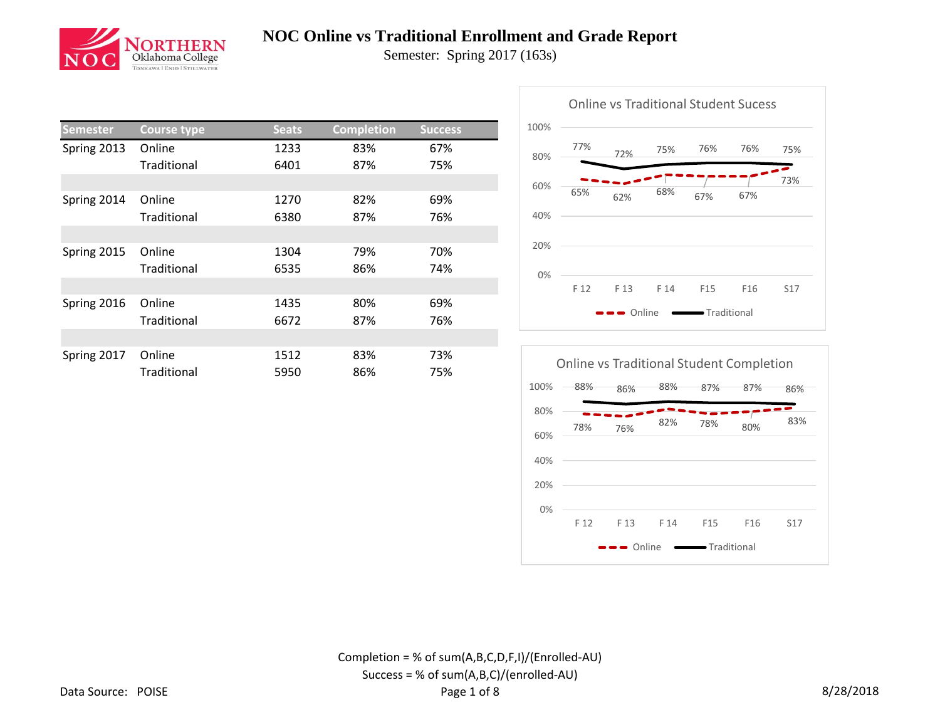

Semester: Spring 2017 (163s)

| <b>Semester</b> | <b>Course type</b> | <b>Seats</b> | <b>Completion</b> | <b>Success</b> |  |  |
|-----------------|--------------------|--------------|-------------------|----------------|--|--|
| Spring 2013     | Online             | 1233         | 83%               | 67%            |  |  |
|                 | Traditional        | 6401         | 87%               | 75%            |  |  |
|                 |                    |              |                   |                |  |  |
| Spring 2014     | Online             | 1270         | 82%               | 69%            |  |  |
|                 | Traditional        | 6380         | 87%               | 76%            |  |  |
|                 |                    |              |                   |                |  |  |
| Spring 2015     | Online             | 1304         | 79%               | 70%            |  |  |
|                 | Traditional        | 6535         | 86%               | 74%            |  |  |
|                 |                    |              |                   |                |  |  |
| Spring 2016     | Online             | 1435         | 80%               | 69%            |  |  |
|                 | Traditional        | 6672         | 87%               | 76%            |  |  |
|                 |                    |              |                   |                |  |  |
| Spring 2017     | Online             | 1512         | 83%               | 73%            |  |  |
|                 | Traditional        | 5950         | 86%               | 75%            |  |  |



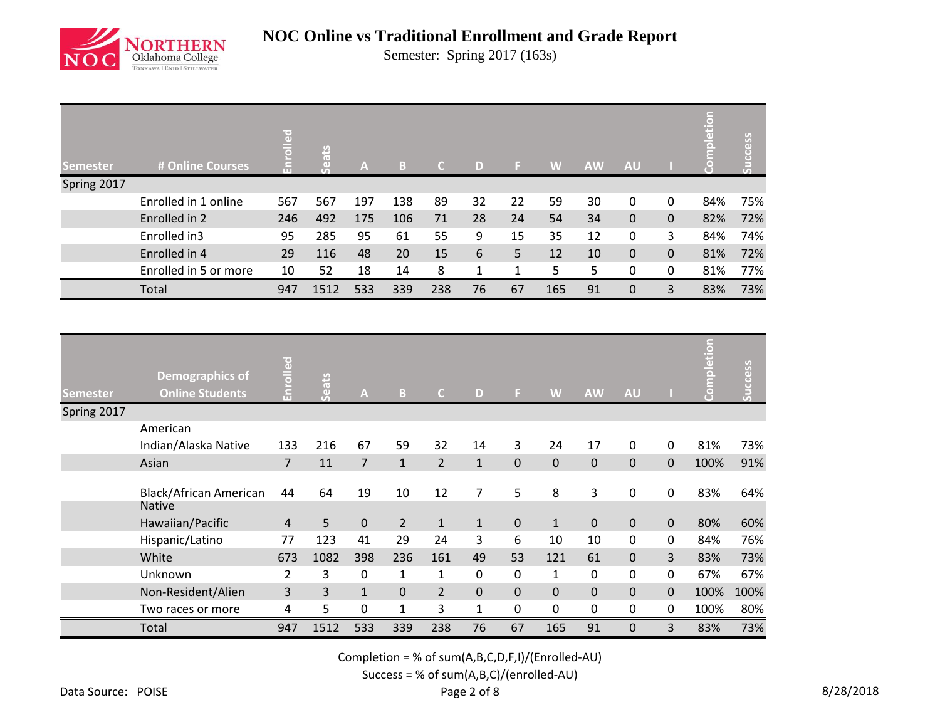

Semester: Spring 2017 (163s)

| <b>Semester</b> | # Online Courses      | $\overline{a}$ | ats<br>õ | $\mathbf{A}$ | B   |     | $\Box$ |    | W   | <b>AW</b> | <b>AU</b> |          | $\Box$<br>Feb | SS  |
|-----------------|-----------------------|----------------|----------|--------------|-----|-----|--------|----|-----|-----------|-----------|----------|---------------|-----|
| Spring 2017     |                       |                |          |              |     |     |        |    |     |           |           |          |               |     |
|                 | Enrolled in 1 online  | 567            | 567      | 197          | 138 | 89  | 32     | 22 | 59  | 30        | $\Omega$  | 0        | 84%           | 75% |
|                 | Enrolled in 2         | 246            | 492      | 175          | 106 | 71  | 28     | 24 | 54  | 34        | $\Omega$  | 0        | 82%           | 72% |
|                 | Enrolled in3          | 95             | 285      | 95           | 61  | 55  | 9      | 15 | 35  | 12        | $\Omega$  | 3        | 84%           | 74% |
|                 | Enrolled in 4         | 29             | 116      | 48           | 20  | 15  | 6      | 5  | 12  | 10        | $\Omega$  | 0        | 81%           | 72% |
|                 | Enrolled in 5 or more | 10             | 52       | 18           | 14  | 8   | 1      | 1  | 5   | 5         | $\Omega$  | $\Omega$ | 81%           | 77% |
|                 | Total                 | 947            | 1512     | 533          | 339 | 238 | 76     | 67 | 165 | 91        | $\Omega$  | 3        | 83%           | 73% |

| <b>Semester</b> | Demographics of<br><b>Online Students</b> | <u>pallo</u><br>'nП | Seats | A              | B              | $\mathsf{C}$   | D            | F.          | W            | <b>AW</b>   | <b>AU</b>   |                | Completion | Success |
|-----------------|-------------------------------------------|---------------------|-------|----------------|----------------|----------------|--------------|-------------|--------------|-------------|-------------|----------------|------------|---------|
| Spring 2017     |                                           |                     |       |                |                |                |              |             |              |             |             |                |            |         |
|                 | American                                  |                     |       |                |                |                |              |             |              |             |             |                |            |         |
|                 | Indian/Alaska Native                      | 133                 | 216   | 67             | 59             | 32             | 14           | 3           | 24           | 17          | $\mathbf 0$ | $\mathbf 0$    | 81%        | 73%     |
|                 | Asian                                     | $\overline{7}$      | 11    | $\overline{7}$ | $\mathbf{1}$   | $\overline{2}$ | $\mathbf{1}$ | $\mathbf 0$ | $\mathbf 0$  | $\mathbf 0$ | $\mathbf 0$ | $\mathbf{0}$   | 100%       | 91%     |
|                 |                                           |                     |       |                |                |                |              |             |              |             |             |                |            |         |
|                 | Black/African American                    | 44                  | 64    | 19             | 10             | 12             | 7            | 5           | 8            | 3           | 0           | $\mathbf 0$    | 83%        | 64%     |
|                 | <b>Native</b>                             |                     |       |                |                |                |              |             |              |             |             |                |            |         |
|                 | Hawaiian/Pacific                          | $\overline{4}$      | 5     | 0              | $\overline{2}$ | $\mathbf{1}$   | $\mathbf{1}$ | $\mathbf 0$ | $\mathbf{1}$ | $\mathbf 0$ | $\mathbf 0$ | $\mathbf 0$    | 80%        | 60%     |
|                 | Hispanic/Latino                           | 77                  | 123   | 41             | 29             | 24             | 3            | 6           | 10           | 10          | 0           | 0              | 84%        | 76%     |
|                 | White                                     | 673                 | 1082  | 398            | 236            | 161            | 49           | 53          | 121          | 61          | $\mathbf 0$ | $\overline{3}$ | 83%        | 73%     |
|                 | Unknown                                   | $\overline{2}$      | 3     | 0              | 1              | $\mathbf{1}$   | 0            | 0           | 1            | 0           | 0           | 0              | 67%        | 67%     |
|                 | Non-Resident/Alien                        | 3                   | 3     | $\mathbf{1}$   | $\mathbf 0$    | $\overline{2}$ | 0            | $\mathbf 0$ | $\mathbf 0$  | $\pmb{0}$   | 0           | 0              | 100%       | 100%    |
|                 | Two races or more                         | 4                   | 5     | 0              | $\mathbf{1}$   | 3              | $\mathbf{1}$ | 0           | $\mathbf 0$  | 0           | $\mathbf 0$ | 0              | 100%       | 80%     |
|                 | Total                                     | 947                 | 1512  | 533            | 339            | 238            | 76           | 67          | 165          | 91          | $\Omega$    | 3              | 83%        | 73%     |

Completion = % of sum(A,B,C,D,F,I)/(Enrolled-AU)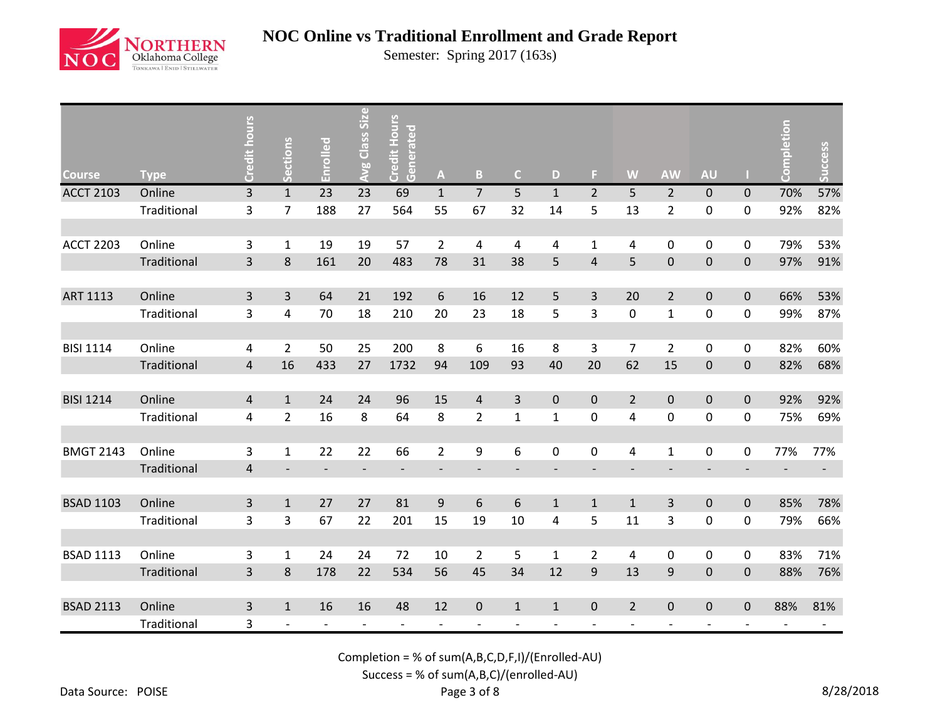

Semester: Spring 2017 (163s)

| <b>Course</b>    | <b>Type</b> | Credit hours            | <b>Sections</b>              | Enrolled | Avg Class Size | <b>Credit Hours</b><br>Generated | $\boldsymbol{\mathsf{A}}$ | B                       | $\mathsf{C}$ | D            | F.             | W              | <b>AW</b>                | <b>AU</b>                |             | npletion | Success |
|------------------|-------------|-------------------------|------------------------------|----------|----------------|----------------------------------|---------------------------|-------------------------|--------------|--------------|----------------|----------------|--------------------------|--------------------------|-------------|----------|---------|
| <b>ACCT 2103</b> | Online      | $\overline{3}$          | $\mathbf{1}$                 | 23       | 23             | 69                               | $\mathbf{1}$              | $\overline{7}$          | 5            | $\mathbf{1}$ | $\overline{2}$ | 5              | $\overline{2}$           | $\pmb{0}$                | 0           | 70%      | 57%     |
|                  | Traditional | 3                       | $\overline{7}$               | 188      | 27             | 564                              | 55                        | 67                      | 32           | 14           | 5              | 13             | $\overline{2}$           | $\pmb{0}$                | 0           | 92%      | 82%     |
|                  |             |                         |                              |          |                |                                  |                           |                         |              |              |                |                |                          |                          |             |          |         |
| <b>ACCT 2203</b> | Online      | 3                       | $\mathbf{1}$                 | 19       | 19             | 57                               | $\overline{2}$            | $\overline{\mathbf{4}}$ | 4            | 4            | $\mathbf{1}$   | 4              | $\pmb{0}$                | 0                        | $\mathbf 0$ | 79%      | 53%     |
|                  | Traditional | 3                       | 8                            | 161      | 20             | 483                              | 78                        | 31                      | 38           | 5            | $\overline{4}$ | 5              | $\pmb{0}$                | $\pmb{0}$                | $\mathbf 0$ | 97%      | 91%     |
| <b>ART 1113</b>  | Online      | 3                       | 3                            | 64       | 21             | 192                              | $\boldsymbol{6}$          | 16                      | 12           | 5            | 3              | 20             | $\overline{2}$           | $\pmb{0}$                | $\pmb{0}$   | 66%      | 53%     |
|                  | Traditional | 3                       | 4                            | 70       | 18             | 210                              | 20                        | 23                      | 18           | 5            | 3              | $\pmb{0}$      | $\mathbf 1$              | 0                        | $\pmb{0}$   | 99%      | 87%     |
|                  |             |                         |                              |          |                |                                  |                           |                         |              |              |                |                |                          |                          |             |          |         |
| <b>BISI 1114</b> | Online      | 4                       | $\overline{2}$               | 50       | 25             | 200                              | 8                         | 6                       | 16           | 8            | 3              | $\overline{7}$ | $\overline{2}$           | 0                        | 0           | 82%      | 60%     |
|                  | Traditional | $\overline{4}$          | 16                           | 433      | 27             | 1732                             | 94                        | 109                     | 93           | 40           | 20             | 62             | 15                       | $\pmb{0}$                | $\mathbf 0$ | 82%      | 68%     |
|                  |             |                         |                              |          |                |                                  |                           |                         |              |              |                |                |                          |                          |             |          |         |
| <b>BISI 1214</b> | Online      | 4                       | $\mathbf{1}$                 | 24       | 24             | 96                               | 15                        | $\overline{4}$          | 3            | $\mathbf{0}$ | $\mathbf{0}$   | $\overline{2}$ | $\mathbf 0$              | $\pmb{0}$                | $\mathbf 0$ | 92%      | 92%     |
|                  | Traditional | 4                       | $\overline{2}$               | 16       | 8              | 64                               | 8                         | $\overline{2}$          | $\mathbf{1}$ | $\mathbf{1}$ | 0              | 4              | $\pmb{0}$                | 0                        | 0           | 75%      | 69%     |
|                  |             |                         |                              |          |                |                                  |                           |                         |              |              |                |                |                          |                          |             |          |         |
| <b>BMGT 2143</b> | Online      | 3                       | $\mathbf{1}$                 | 22       | 22             | 66                               | $\overline{2}$            | 9                       | 6            | 0            | 0              | 4              | $\mathbf{1}$             | 0                        | $\pmb{0}$   | 77%      | 77%     |
|                  | Traditional | $\overline{\mathbf{4}}$ | $\qquad \qquad \blacksquare$ |          |                | $\overline{a}$                   | $\overline{\phantom{a}}$  |                         |              |              |                |                | $\overline{\phantom{a}}$ | $\overline{\phantom{0}}$ |             |          |         |
|                  |             |                         |                              |          |                |                                  |                           |                         |              |              |                |                |                          |                          |             |          |         |
| <b>BSAD 1103</b> | Online      | 3                       | $\mathbf{1}$                 | 27       | 27             | 81                               | $9\,$                     | 6                       | 6            | $\mathbf{1}$ | $\mathbf{1}$   | $\mathbf{1}$   | $\mathsf{3}$             | $\pmb{0}$                | $\pmb{0}$   | 85%      | 78%     |
|                  | Traditional | 3                       | 3                            | 67       | 22             | 201                              | 15                        | 19                      | 10           | 4            | 5              | 11             | 3                        | 0                        | $\pmb{0}$   | 79%      | 66%     |
|                  |             |                         |                              |          |                |                                  |                           |                         |              |              |                |                |                          |                          |             |          |         |
| <b>BSAD 1113</b> | Online      | 3                       | $\mathbf{1}$                 | 24       | 24             | 72                               | 10                        | $\overline{2}$          | 5            | $\mathbf{1}$ | $\overline{2}$ | 4              | $\pmb{0}$                | 0                        | 0           | 83%      | 71%     |
|                  | Traditional | $\overline{3}$          | $\,8\,$                      | 178      | 22             | 534                              | 56                        | 45                      | 34           | 12           | 9              | 13             | $\mathsf 9$              | $\mathbf 0$              | 0           | 88%      | 76%     |
|                  |             |                         |                              |          |                |                                  |                           |                         |              |              |                |                |                          |                          |             |          |         |
| <b>BSAD 2113</b> | Online      | 3                       | $\mathbf{1}$                 | 16       | 16             | 48                               | 12                        | $\pmb{0}$               | $\mathbf{1}$ | $\mathbf{1}$ | $\mathbf 0$    | $\overline{2}$ | $\mathbf 0$              | $\pmb{0}$                | $\mathbf 0$ | 88%      | 81%     |
|                  | Traditional | 3                       |                              |          |                | $\overline{\phantom{a}}$         | $\overline{a}$            |                         |              |              |                |                |                          |                          |             |          |         |

Completion = % of sum(A,B,C,D,F,I)/(Enrolled-AU)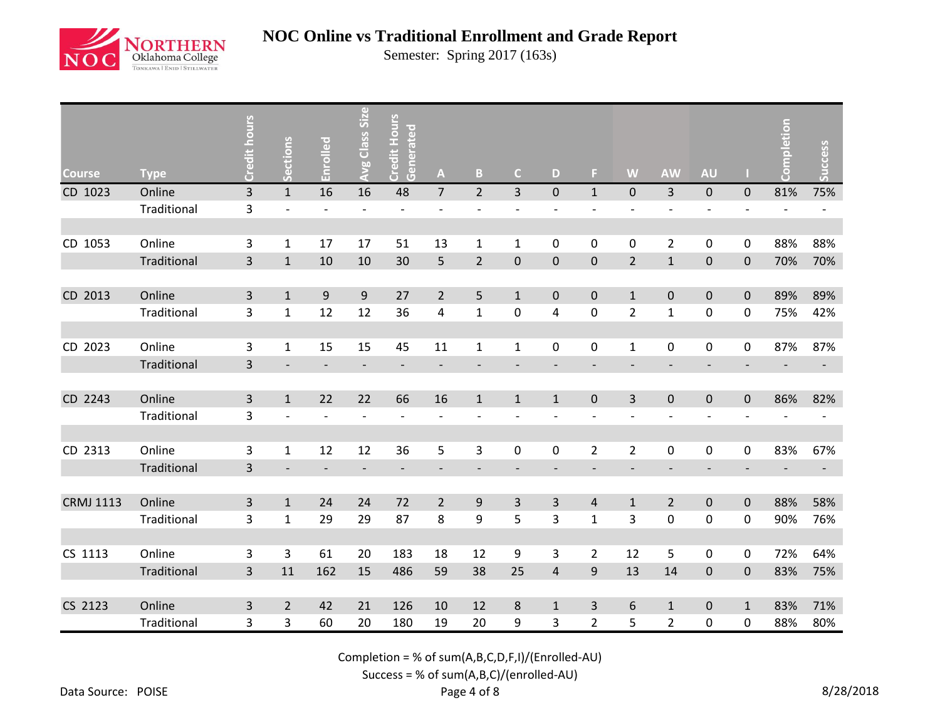

Semester: Spring 2017 (163s)

| <b>Course</b>    | <b>Type</b> | Credit hours   | ctions<br>$\tilde{\mathbf{v}}$<br>$\overline{u}$ | Enrolled                 | <b>Avg Class Size</b>    | Credit Hours<br>Generated | A                        | B                        | $\mathsf{C}$             | D                        | E.                       | W                        | <b>AW</b>                | <b>AU</b>                    |              | letion | ccess |
|------------------|-------------|----------------|--------------------------------------------------|--------------------------|--------------------------|---------------------------|--------------------------|--------------------------|--------------------------|--------------------------|--------------------------|--------------------------|--------------------------|------------------------------|--------------|--------|-------|
| CD 1023          | Online      | 3              | $\mathbf{1}$                                     | 16                       | 16                       | 48                        | $\overline{7}$           | $\overline{2}$           | $\overline{3}$           | $\pmb{0}$                | $\mathbf{1}$             | $\pmb{0}$                | 3                        | $\pmb{0}$                    | $\pmb{0}$    | 81%    | 75%   |
|                  | Traditional | 3              |                                                  |                          |                          |                           |                          |                          |                          |                          |                          |                          |                          |                              |              |        |       |
|                  |             |                |                                                  |                          |                          |                           |                          |                          |                          |                          |                          |                          |                          |                              |              |        |       |
| CD 1053          | Online      | 3              | $\mathbf{1}$                                     | 17                       | 17                       | 51                        | 13                       | $\mathbf{1}$             | $\mathbf{1}$             | 0                        | 0                        | $\mathbf 0$              | $\overline{2}$           | $\pmb{0}$                    | 0            | 88%    | 88%   |
|                  | Traditional | 3              | $\mathbf{1}$                                     | 10                       | 10                       | 30                        | 5                        | $\overline{2}$           | $\pmb{0}$                | $\pmb{0}$                | $\pmb{0}$                | $\overline{2}$           | $\mathbf 1$              | $\pmb{0}$                    | $\pmb{0}$    | 70%    | 70%   |
|                  |             |                |                                                  |                          |                          |                           |                          |                          |                          |                          |                          |                          |                          |                              |              |        |       |
| CD 2013          | Online      | $\overline{3}$ | $\mathbf{1}$                                     | 9                        | 9                        | 27                        | $\overline{2}$           | 5                        | $\mathbf{1}$             | $\pmb{0}$                | $\mathbf 0$              | $\mathbf{1}$             | $\pmb{0}$                | $\pmb{0}$                    | $\pmb{0}$    | 89%    | 89%   |
|                  | Traditional | 3              | $\mathbf{1}$                                     | 12                       | 12                       | 36                        | 4                        | $\mathbf{1}$             | $\pmb{0}$                | 4                        | $\mathbf 0$              | $\overline{2}$           | $\mathbf 1$              | 0                            | 0            | 75%    | 42%   |
|                  |             |                |                                                  |                          |                          |                           |                          |                          |                          |                          |                          |                          |                          |                              |              |        |       |
| CD 2023          | Online      | 3              | $\mathbf{1}$                                     | 15                       | 15                       | 45                        | 11                       | $\mathbf{1}$             | $\mathbf 1$              | 0                        | 0                        | $\mathbf{1}$             | $\pmb{0}$                | $\pmb{0}$                    | 0            | 87%    | 87%   |
|                  | Traditional | 3              |                                                  |                          |                          |                           | $\overline{a}$           | $\overline{\phantom{a}}$ |                          |                          |                          |                          |                          |                              |              |        |       |
|                  |             |                |                                                  |                          |                          |                           |                          |                          |                          |                          |                          |                          |                          |                              |              |        |       |
| CD 2243          | Online      | 3              | $\mathbf{1}$                                     | 22                       | 22                       | 66                        | 16                       | $\mathbf{1}$             | $\mathbf{1}$             | $\mathbf{1}$             | $\mathbf 0$              | 3                        | $\pmb{0}$                | $\mathbf 0$                  | $\mathbf 0$  | 86%    | 82%   |
|                  | Traditional | 3              |                                                  |                          |                          |                           | $\overline{\phantom{a}}$ | $\qquad \qquad -$        |                          |                          |                          | $\overline{\phantom{a}}$ | $\overline{\phantom{a}}$ | $\overline{\phantom{a}}$     |              |        |       |
|                  |             |                |                                                  |                          |                          |                           |                          |                          |                          |                          |                          |                          |                          |                              |              |        |       |
| CD 2313          | Online      | 3              | $\mathbf{1}$                                     | 12                       | 12                       | 36                        | 5                        | 3                        | $\pmb{0}$                | 0                        | $\overline{2}$           | $\overline{2}$           | $\pmb{0}$                | $\pmb{0}$                    | 0            | 83%    | 67%   |
|                  | Traditional | 3              | $\overline{\phantom{a}}$                         | $\overline{\phantom{a}}$ | $\overline{\phantom{a}}$ | $\overline{\phantom{a}}$  | $\overline{\phantom{a}}$ | $\overline{\phantom{a}}$ | $\overline{\phantom{a}}$ | $\overline{\phantom{a}}$ | $\overline{\phantom{a}}$ | $\overline{\phantom{a}}$ | $\overline{\phantom{a}}$ | $\qquad \qquad \blacksquare$ |              |        |       |
|                  |             |                |                                                  |                          |                          |                           |                          |                          |                          |                          |                          |                          |                          |                              |              |        |       |
| <b>CRMJ 1113</b> | Online      | 3              | $\mathbf{1}$                                     | 24                       | 24                       | 72                        | $\overline{2}$           | 9                        | $\mathsf{3}$             | 3                        | $\overline{4}$           | $\mathbf{1}$             | $\overline{2}$           | $\mathbf 0$                  | $\pmb{0}$    | 88%    | 58%   |
|                  | Traditional | 3              | $\mathbf{1}$                                     | 29                       | 29                       | 87                        | 8                        | 9                        | 5                        | 3                        | $\mathbf{1}$             | 3                        | $\pmb{0}$                | $\pmb{0}$                    | 0            | 90%    | 76%   |
|                  |             |                |                                                  |                          |                          |                           |                          |                          |                          |                          |                          |                          |                          |                              |              |        |       |
| CS 1113          | Online      | 3              | 3                                                | 61                       | 20                       | 183                       | 18                       | 12                       | 9                        | 3                        | $\overline{2}$           | 12                       | 5                        | 0                            | 0            | 72%    | 64%   |
|                  | Traditional | 3              | 11                                               | 162                      | 15                       | 486                       | 59                       | 38                       | 25                       | $\overline{4}$           | $\mathsf 9$              | 13                       | 14                       | $\pmb{0}$                    | $\pmb{0}$    | 83%    | 75%   |
|                  |             |                |                                                  |                          |                          |                           |                          |                          |                          |                          |                          |                          |                          |                              |              |        |       |
| CS 2123          | Online      | 3              | $\overline{2}$                                   | 42                       | 21                       | 126                       | 10                       | 12                       | 8                        | $\mathbf{1}$             | 3                        | 6                        | $\mathbf{1}$             | $\pmb{0}$                    | $\mathbf{1}$ | 83%    | 71%   |
|                  | Traditional | 3              | 3                                                | 60                       | 20                       | 180                       | 19                       | 20                       | 9                        | 3                        | $\overline{2}$           | 5                        | $\overline{2}$           | 0                            | 0            | 88%    | 80%   |

Completion = % of sum(A,B,C,D,F,I)/(Enrolled-AU)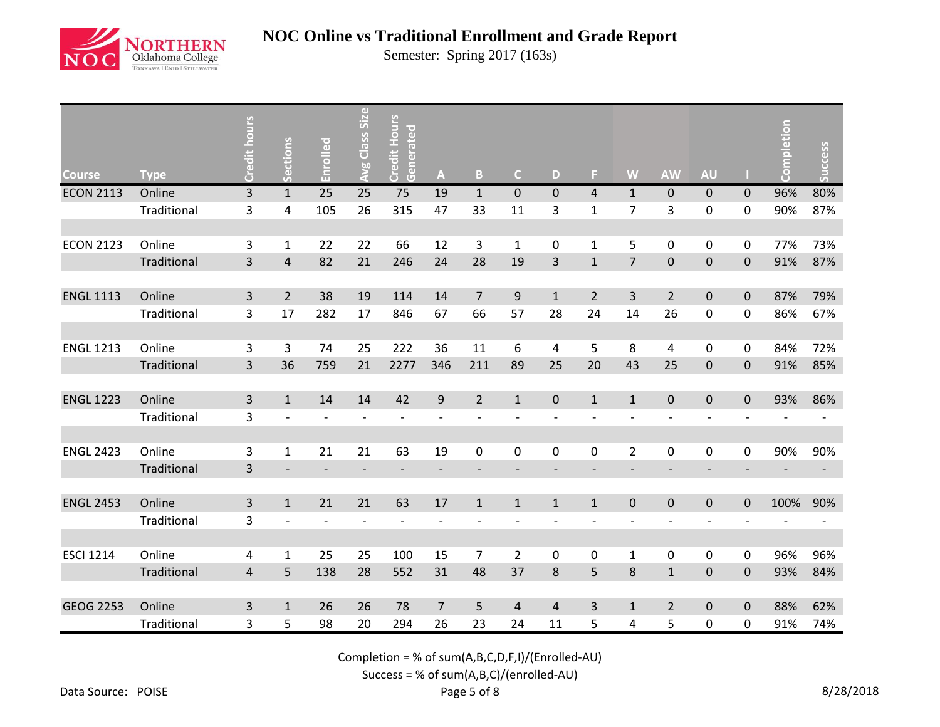

Semester: Spring 2017 (163s)

| <b>Course</b>    | <b>Type</b> | Credit hours            | <b>Sections</b>          | Enrolled                 | Avg Class Size           | <b>Credit Hours</b><br>Generated | $\boldsymbol{\mathsf{A}}$    | B                        | $\mathsf{C}$             | D                        | F.                       | W                        | <b>AW</b>                | <b>AU</b>                |             | pletion | Success                  |
|------------------|-------------|-------------------------|--------------------------|--------------------------|--------------------------|----------------------------------|------------------------------|--------------------------|--------------------------|--------------------------|--------------------------|--------------------------|--------------------------|--------------------------|-------------|---------|--------------------------|
| <b>ECON 2113</b> | Online      | $\overline{3}$          | $\mathbf 1$              | 25                       | 25                       | 75                               | 19                           | $\mathbf{1}$             | $\pmb{0}$                | $\overline{0}$           | $\overline{4}$           | $\mathbf{1}$             | $\pmb{0}$                | $\pmb{0}$                | 0           | 96%     | 80%                      |
|                  | Traditional | 3                       | 4                        | 105                      | 26                       | 315                              | 47                           | 33                       | 11                       | 3                        | $\mathbf{1}$             | $\overline{7}$           | 3                        | 0                        | 0           | 90%     | 87%                      |
|                  |             |                         |                          |                          |                          |                                  |                              |                          |                          |                          |                          |                          |                          |                          |             |         |                          |
| <b>ECON 2123</b> | Online      | 3                       | $\mathbf{1}$             | 22                       | 22                       | 66                               | 12                           | 3                        | $\mathbf{1}$             | 0                        | $\mathbf{1}$             | 5                        | $\pmb{0}$                | 0                        | 0           | 77%     | 73%                      |
|                  | Traditional | 3                       | $\overline{4}$           | 82                       | 21                       | 246                              | 24                           | 28                       | 19                       | 3                        | $\mathbf 1$              | $\overline{7}$           | $\pmb{0}$                | $\pmb{0}$                | $\mathbf 0$ | 91%     | 87%                      |
|                  |             |                         |                          |                          |                          |                                  |                              |                          |                          |                          |                          |                          |                          |                          |             |         |                          |
| <b>ENGL 1113</b> | Online      | 3                       | $\overline{2}$           | 38                       | 19                       | 114                              | 14                           | $\overline{7}$           | 9                        | $\mathbf{1}$             | $\overline{2}$           | 3                        | $\overline{2}$           | $\pmb{0}$                | $\pmb{0}$   | 87%     | 79%                      |
|                  | Traditional | 3                       | 17                       | 282                      | 17                       | 846                              | 67                           | 66                       | 57                       | 28                       | 24                       | 14                       | 26                       | 0                        | 0           | 86%     | 67%                      |
|                  |             |                         |                          |                          |                          |                                  |                              |                          |                          |                          |                          |                          |                          |                          |             |         |                          |
| <b>ENGL 1213</b> | Online      | 3                       | 3                        | 74                       | 25                       | 222                              | 36                           | 11                       | 6                        | 4                        | 5                        | 8                        | 4                        | 0                        | 0           | 84%     | 72%                      |
|                  | Traditional | $\overline{3}$          | 36                       | 759                      | 21                       | 2277                             | 346                          | 211                      | 89                       | 25                       | 20                       | 43                       | 25                       | $\pmb{0}$                | $\mathbf 0$ | 91%     | 85%                      |
|                  |             |                         |                          |                          |                          |                                  |                              |                          |                          |                          |                          |                          |                          |                          |             |         |                          |
| <b>ENGL 1223</b> | Online      | $\overline{3}$          | $\mathbf{1}$             | 14                       | 14                       | 42                               | $\boldsymbol{9}$             | $\overline{2}$           | $\mathbf{1}$             | $\mathbf 0$              | $\mathbf{1}$             | $\mathbf{1}$             | $\mathbf 0$              | $\pmb{0}$                | $\mathbf 0$ | 93%     | 86%                      |
|                  | Traditional | 3                       |                          |                          |                          |                                  | $\qquad \qquad \blacksquare$ |                          |                          |                          |                          |                          |                          |                          |             |         |                          |
|                  |             |                         |                          |                          |                          |                                  |                              |                          |                          |                          |                          |                          |                          |                          |             |         |                          |
| <b>ENGL 2423</b> | Online      | 3                       | $\mathbf 1$              | 21                       | 21                       | 63                               | 19                           | 0                        | 0                        | $\mathbf 0$              | 0                        | $\overline{2}$           | $\pmb{0}$                | 0                        | $\pmb{0}$   | 90%     | 90%                      |
|                  | Traditional | 3                       | $\overline{\phantom{a}}$ | $\overline{\phantom{a}}$ | $\overline{\phantom{a}}$ | $\overline{\phantom{a}}$         | $\overline{\phantom{a}}$     | $\overline{\phantom{a}}$ | $\overline{\phantom{0}}$ | $\overline{\phantom{a}}$ | $\overline{\phantom{a}}$ | $\overline{\phantom{a}}$ | $\overline{\phantom{a}}$ | $\overline{\phantom{a}}$ |             |         | $\overline{\phantom{a}}$ |
|                  |             |                         |                          |                          |                          |                                  |                              |                          |                          |                          |                          |                          |                          |                          |             |         |                          |
| <b>ENGL 2453</b> | Online      | 3                       | $\mathbf{1}$             | 21                       | 21                       | 63                               | 17                           | $\mathbf{1}$             | $\mathbf{1}$             | $\mathbf{1}$             | $\mathbf{1}$             | $\pmb{0}$                | $\mathbf 0$              | $\pmb{0}$                | 0           | 100%    | 90%                      |
|                  | Traditional | 3                       | $\overline{\phantom{a}}$ | $\overline{\phantom{a}}$ |                          | $\overline{\phantom{a}}$         | $\overline{a}$               |                          |                          |                          |                          | $\overline{\phantom{a}}$ | $\overline{\phantom{a}}$ | $\overline{\phantom{0}}$ |             |         |                          |
|                  |             |                         |                          |                          |                          |                                  |                              |                          |                          |                          |                          |                          |                          |                          |             |         |                          |
| <b>ESCI 1214</b> | Online      | 4                       | 1                        | 25                       | 25                       | 100                              | 15                           | $\overline{7}$           | $\overline{2}$           | 0                        | 0                        | 1                        | 0                        | 0                        | 0           | 96%     | 96%                      |
|                  | Traditional | $\overline{\mathbf{4}}$ | 5                        | 138                      | 28                       | 552                              | 31                           | 48                       | 37                       | 8                        | 5                        | 8                        | $\mathbf 1$              | $\pmb{0}$                | 0           | 93%     | 84%                      |
|                  |             |                         |                          |                          |                          |                                  |                              |                          |                          |                          |                          |                          |                          |                          |             |         |                          |
| <b>GEOG 2253</b> | Online      | 3                       | $\mathbf{1}$             | 26                       | 26                       | 78                               | $\overline{7}$               | 5                        | $\overline{4}$           | $\overline{4}$           | 3                        | $\mathbf{1}$             | $\overline{2}$           | $\pmb{0}$                | $\mathbf 0$ | 88%     | 62%                      |
|                  | Traditional | 3                       | 5                        | 98                       | 20                       | 294                              | 26                           | 23                       | 24                       | 11                       | 5                        | 4                        | 5                        | 0                        | 0           | 91%     | 74%                      |

Completion = % of sum(A,B,C,D,F,I)/(Enrolled-AU)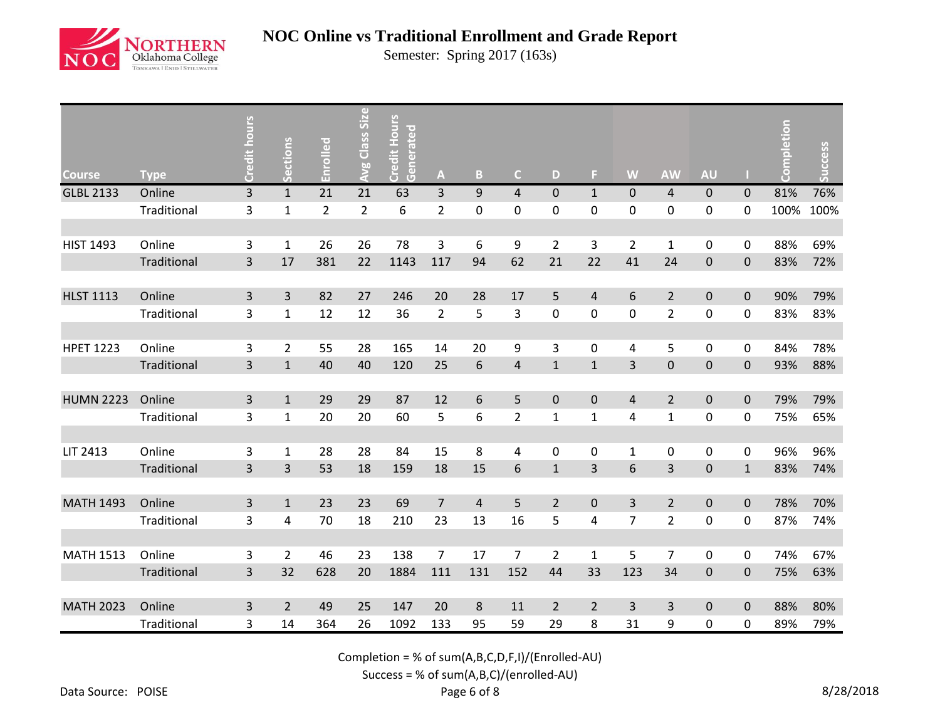

Semester: Spring 2017 (163s)

| <b>Course</b>    | <b>Type</b> | Credit hours   | Sections       | Enrolled       | Avg Class Size | Credit Hours<br>Generated | A              | $\mathbf{B}$     | $\mathsf{C}$   | D              | F.             | W              | <b>AW</b>      | <b>AU</b>           |             | pletion | <b>Success</b> |
|------------------|-------------|----------------|----------------|----------------|----------------|---------------------------|----------------|------------------|----------------|----------------|----------------|----------------|----------------|---------------------|-------------|---------|----------------|
| <b>GLBL 2133</b> | Online      | $\overline{3}$ | $\mathbf{1}$   | 21             | 21             | 63                        | 3              | $\boldsymbol{9}$ | $\overline{4}$ | $\overline{0}$ | $\mathbf{1}$   | $\mathbf 0$    | $\overline{4}$ | $\pmb{0}$           | $\pmb{0}$   | 81%     | 76%            |
|                  | Traditional | 3              | $\mathbf 1$    | $\overline{2}$ | $\overline{2}$ | 6                         | $\overline{2}$ | 0                | 0              | 0              | 0              | $\mathbf 0$    | 0              | 0                   | 0           | 100%    | 100%           |
|                  |             |                |                |                |                |                           |                |                  |                |                |                |                |                |                     |             |         |                |
| <b>HIST 1493</b> | Online      | 3              | $\mathbf{1}$   | 26             | 26             | 78                        | 3              | 6                | 9              | $\overline{2}$ | 3              | $\overline{2}$ | $\mathbf{1}$   | $\pmb{0}$           | 0           | 88%     | 69%            |
|                  | Traditional | 3              | 17             | 381            | 22             | 1143                      | 117            | 94               | 62             | 21             | 22             | 41             | 24             | $\pmb{0}$           | $\pmb{0}$   | 83%     | 72%            |
|                  |             |                |                |                |                |                           |                |                  |                |                |                |                |                |                     |             |         |                |
| <b>HLST 1113</b> | Online      | 3              | $\overline{3}$ | 82             | 27             | 246                       | 20             | 28               | 17             | 5              | 4              | 6              | $\overline{2}$ | $\mathbf{0}$        | $\pmb{0}$   | 90%     | 79%            |
|                  | Traditional | 3              | $\mathbf{1}$   | 12             | 12             | 36                        | $\overline{2}$ | 5                | 3              | 0              | $\mathbf 0$    | $\pmb{0}$      | $\overline{2}$ | 0                   | 0           | 83%     | 83%            |
|                  |             |                |                |                |                |                           |                |                  |                |                |                |                |                |                     |             |         |                |
| <b>HPET 1223</b> | Online      | 3              | $\overline{2}$ | 55             | 28             | 165                       | 14             | 20               | 9              | 3              | 0              | 4              | 5              | 0                   | 0           | 84%     | 78%            |
|                  | Traditional | 3              | $\mathbf{1}$   | 40             | 40             | 120                       | 25             | 6                | $\overline{4}$ | $\mathbf{1}$   | $\mathbf{1}$   | 3              | $\pmb{0}$      | $\pmb{0}$           | $\pmb{0}$   | 93%     | 88%            |
|                  |             |                |                |                |                |                           |                |                  |                |                |                |                |                |                     |             |         |                |
| <b>HUMN 2223</b> | Online      | 3              | $\mathbf{1}$   | 29             | 29             | 87                        | 12             | 6                | 5              | 0              | $\mathbf 0$    | 4              | $\overline{2}$ | $\mathbf 0$         | $\mathbf 0$ | 79%     | 79%            |
|                  | Traditional | 3              | $\mathbf{1}$   | 20             | 20             | 60                        | 5              | 6                | $\overline{2}$ | $\mathbf{1}$   | $\mathbf{1}$   | 4              | $\mathbf 1$    | $\pmb{0}$           | 0           | 75%     | 65%            |
|                  |             |                |                |                |                |                           |                |                  |                |                |                |                |                |                     |             |         |                |
| LIT 2413         | Online      | 3              | $\mathbf{1}$   | 28             | 28             | 84                        | 15             | 8                | 4              | $\mathbf 0$    | 0              | $\mathbf{1}$   | $\pmb{0}$      | $\mathbf 0$         | $\pmb{0}$   | 96%     | 96%            |
|                  | Traditional | $\mathsf{3}$   | $\mathsf{3}$   | 53             | 18             | 159                       | 18             | 15               | 6              | $\mathbf{1}$   | 3              | 6              | 3              | $\pmb{0}$           | $1\,$       | 83%     | 74%            |
|                  |             |                |                |                |                |                           |                |                  |                |                |                |                |                |                     |             |         |                |
| <b>MATH 1493</b> | Online      | 3              | $\mathbf{1}$   | 23             | 23             | 69                        | $\overline{7}$ | $\overline{4}$   | 5              | $\overline{2}$ | $\mathbf 0$    | 3              | $\overline{2}$ | $\mathsf{O}\xspace$ | $\pmb{0}$   | 78%     | 70%            |
|                  | Traditional | 3              | 4              | 70             | 18             | 210                       | 23             | 13               | 16             | 5              | 4              | $\overline{7}$ | $\overline{2}$ | 0                   | 0           | 87%     | 74%            |
|                  |             |                |                |                |                |                           |                |                  |                |                |                |                |                |                     |             |         |                |
| <b>MATH 1513</b> | Online      | 3              | $\overline{2}$ | 46             | 23             | 138                       | $\overline{7}$ | 17               | $\overline{7}$ | $\overline{2}$ | $\mathbf{1}$   | 5              | $\overline{7}$ | 0                   | 0           | 74%     | 67%            |
|                  | Traditional | 3              | 32             | 628            | 20             | 1884                      | 111            | 131              | 152            | 44             | 33             | 123            | 34             | $\pmb{0}$           | $\mathbf 0$ | 75%     | 63%            |
|                  |             |                |                |                |                |                           |                |                  |                |                |                |                |                |                     |             |         |                |
| <b>MATH 2023</b> | Online      | 3              | $\overline{2}$ | 49             | 25             | 147                       | 20             | 8                | 11             | $\overline{2}$ | $\overline{2}$ | 3              | 3              | $\pmb{0}$           | $\pmb{0}$   | 88%     | 80%            |
|                  | Traditional | 3              | 14             | 364            | 26             | 1092                      | 133            | 95               | 59             | 29             | 8              | 31             | 9              | $\pmb{0}$           | 0           | 89%     | 79%            |

Completion = % of sum(A,B,C,D,F,I)/(Enrolled-AU)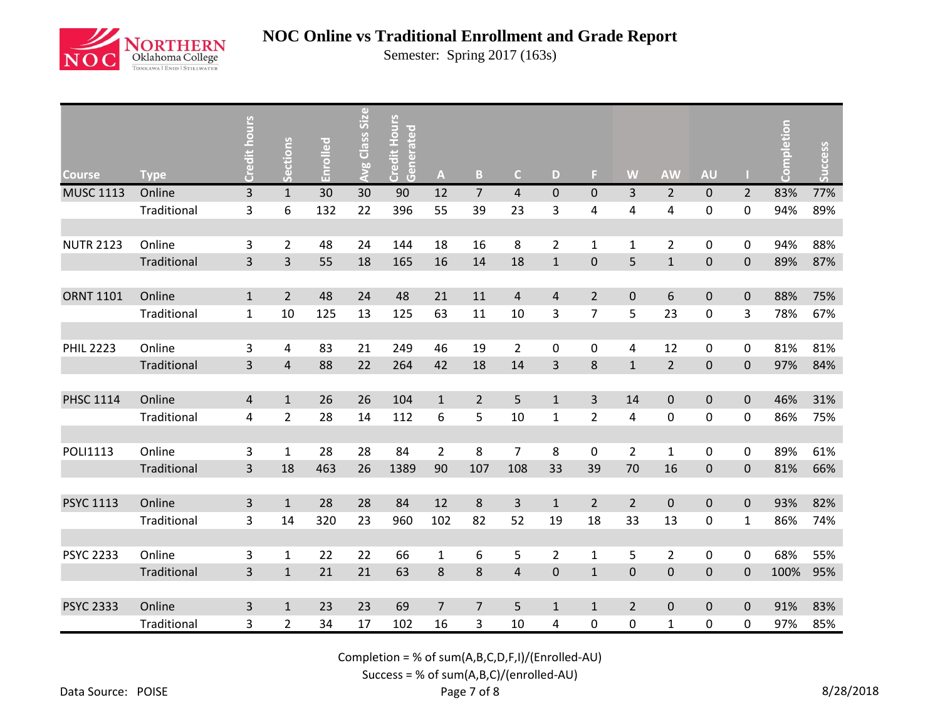

Semester: Spring 2017 (163s)

| <b>Course</b>    | <b>Type</b> | Credit hours            | Sections       | Enrolled | <b>Avg Class Size</b> | Credit Hours<br>Generated | $\boldsymbol{\mathsf{A}}$ | $\mathbf B$    | $\mathsf{C}$   | D              | F.             | W                | <b>AW</b>      | <b>AU</b>           |                | pletion | Success |
|------------------|-------------|-------------------------|----------------|----------|-----------------------|---------------------------|---------------------------|----------------|----------------|----------------|----------------|------------------|----------------|---------------------|----------------|---------|---------|
| <b>MUSC 1113</b> | Online      | 3                       | $\mathbf{1}$   | 30       | 30                    | 90                        | 12                        | $\overline{7}$ | $\overline{4}$ | $\pmb{0}$      | $\mathbf 0$    | $\overline{3}$   | $\overline{2}$ | $\pmb{0}$           | $\overline{2}$ | 83%     | 77%     |
|                  | Traditional | $\overline{\mathbf{3}}$ | 6              | 132      | 22                    | 396                       | 55                        | 39             | 23             | 3              | 4              | 4                | 4              | $\pmb{0}$           | 0              | 94%     | 89%     |
|                  |             |                         |                |          |                       |                           |                           |                |                |                |                |                  |                |                     |                |         |         |
| <b>NUTR 2123</b> | Online      | 3                       | $\overline{2}$ | 48       | 24                    | 144                       | 18                        | 16             | 8              | $\overline{2}$ | $\mathbf{1}$   | $\mathbf{1}$     | $\overline{2}$ | $\pmb{0}$           | 0              | 94%     | 88%     |
|                  | Traditional | 3                       | 3              | 55       | 18                    | 165                       | 16                        | 14             | 18             | $\mathbf{1}$   | $\pmb{0}$      | 5                | $\mathbf 1$    | 0                   | $\pmb{0}$      | 89%     | 87%     |
|                  |             |                         |                |          |                       |                           |                           |                |                |                |                |                  |                |                     |                |         |         |
| <b>ORNT 1101</b> | Online      | $\mathbf{1}$            | $\overline{2}$ | 48       | 24                    | 48                        | 21                        | 11             | $\overline{4}$ | $\overline{4}$ | $\overline{2}$ | $\boldsymbol{0}$ | 6              | $\pmb{0}$           | $\pmb{0}$      | 88%     | 75%     |
|                  | Traditional | $\mathbf{1}$            | 10             | 125      | 13                    | 125                       | 63                        | 11             | 10             | 3              | $\overline{7}$ | 5                | 23             | $\pmb{0}$           | 3              | 78%     | 67%     |
|                  |             |                         |                |          |                       |                           |                           |                |                |                |                |                  |                |                     |                |         |         |
| <b>PHIL 2223</b> | Online      | 3                       | 4              | 83       | 21                    | 249                       | 46                        | 19             | $\overline{2}$ | 0              | 0              | 4                | 12             | $\mathbf 0$         | 0              | 81%     | 81%     |
|                  | Traditional | $\overline{3}$          | $\overline{4}$ | 88       | 22                    | 264                       | 42                        | 18             | 14             | $\overline{3}$ | 8              | $\mathbf{1}$     | $\overline{2}$ | $\pmb{0}$           | $\mathbf 0$    | 97%     | 84%     |
|                  |             |                         |                |          |                       |                           |                           |                |                |                |                |                  |                |                     |                |         |         |
| <b>PHSC 1114</b> | Online      | $\overline{4}$          | $\mathbf{1}$   | 26       | 26                    | 104                       | $\mathbf{1}$              | $\overline{2}$ | 5              | $\mathbf{1}$   | 3              | 14               | $\pmb{0}$      | $\pmb{0}$           | $\mathbf 0$    | 46%     | 31%     |
|                  | Traditional | $\overline{\mathbf{4}}$ | $\overline{2}$ | 28       | 14                    | 112                       | $\boldsymbol{6}$          | 5              | 10             | $\mathbf{1}$   | $\overline{2}$ | 4                | $\pmb{0}$      | 0                   | 0              | 86%     | 75%     |
|                  |             |                         |                |          |                       |                           |                           |                |                |                |                |                  |                |                     |                |         |         |
| <b>POLI1113</b>  | Online      | 3                       | $\mathbf{1}$   | 28       | 28                    | 84                        | $\overline{2}$            | 8              | $\overline{7}$ | 8              | 0              | $\overline{2}$   | $\mathbf{1}$   | $\mathsf{O}\xspace$ | $\pmb{0}$      | 89%     | 61%     |
|                  | Traditional | 3                       | 18             | 463      | 26                    | 1389                      | 90                        | 107            | 108            | 33             | 39             | 70               | 16             | $\mathsf{O}\xspace$ | $\pmb{0}$      | 81%     | 66%     |
|                  |             |                         |                |          |                       |                           |                           |                |                |                |                |                  |                |                     |                |         |         |
| <b>PSYC 1113</b> | Online      | 3                       | $\mathbf{1}$   | 28       | 28                    | 84                        | 12                        | $\bf 8$        | $\overline{3}$ | $\mathbf{1}$   | $\overline{2}$ | $\overline{2}$   | $\pmb{0}$      | $\pmb{0}$           | $\pmb{0}$      | 93%     | 82%     |
|                  | Traditional | 3                       | 14             | 320      | 23                    | 960                       | 102                       | 82             | 52             | 19             | 18             | 33               | 13             | $\pmb{0}$           | $\mathbf{1}$   | 86%     | 74%     |
|                  |             |                         |                |          |                       |                           |                           |                |                |                |                |                  |                |                     |                |         |         |
| <b>PSYC 2233</b> | Online      | 3                       | 1              | 22       | 22                    | 66                        | $\mathbf{1}$              | 6              | 5              | $\overline{2}$ | 1              | 5                | $\overline{2}$ | 0                   | 0              | 68%     | 55%     |
|                  | Traditional | 3                       | $\mathbf{1}$   | 21       | 21                    | 63                        | $\bf 8$                   | 8              | $\overline{4}$ | $\pmb{0}$      | $\mathbf{1}$   | $\mathsf 0$      | $\pmb{0}$      | $\pmb{0}$           | $\mathbf 0$    | 100%    | 95%     |
|                  |             |                         |                |          |                       |                           |                           |                |                |                |                |                  |                |                     |                |         |         |
| <b>PSYC 2333</b> | Online      | 3                       | $\mathbf{1}$   | 23       | 23                    | 69                        | $\overline{7}$            | $\overline{7}$ | 5              | $\mathbf{1}$   | $\mathbf{1}$   | $\overline{2}$   | $\pmb{0}$      | $\pmb{0}$           | $\pmb{0}$      | 91%     | 83%     |
|                  | Traditional | 3                       | $\overline{2}$ | 34       | 17                    | 102                       | 16                        | 3              | 10             | 4              | 0              | 0                | $\mathbf 1$    | 0                   | 0              | 97%     | 85%     |

Completion = % of sum(A,B,C,D,F,I)/(Enrolled-AU)